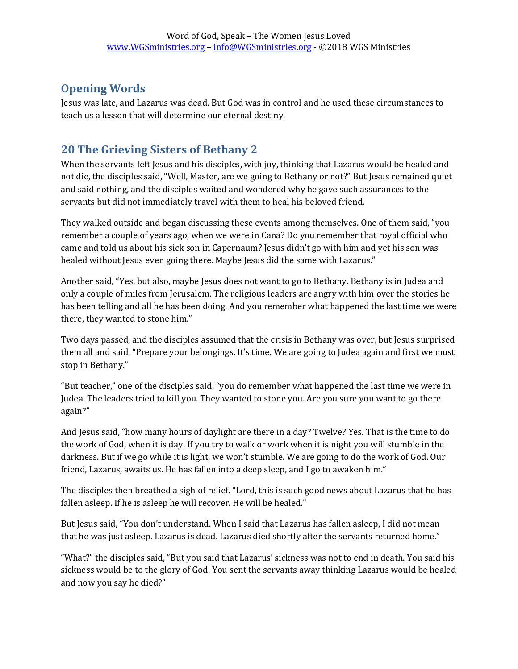## **Opening Words**

Jesus was late, and Lazarus was dead. But God was in control and he used these circumstances to teach us a lesson that will determine our eternal destiny.

## **20 The Grieving Sisters of Bethany 2**

When the servants left Jesus and his disciples, with joy, thinking that Lazarus would be healed and not die, the disciples said, "Well, Master, are we going to Bethany or not?" But Jesus remained quiet and said nothing, and the disciples waited and wondered why he gave such assurances to the servants but did not immediately travel with them to heal his beloved friend.

They walked outside and began discussing these events among themselves. One of them said, "you remember a couple of years ago, when we were in Cana? Do you remember that royal official who came and told us about his sick son in Capernaum? Jesus didn't go with him and yet his son was healed without Jesus even going there. Maybe Jesus did the same with Lazarus."

Another said, "Yes, but also, maybe Jesus does not want to go to Bethany. Bethany is in Judea and only a couple of miles from Jerusalem. The religious leaders are angry with him over the stories he has been telling and all he has been doing. And you remember what happened the last time we were there, they wanted to stone him."

Two days passed, and the disciples assumed that the crisis in Bethany was over, but Jesus surprised them all and said, "Prepare your belongings. It's time. We are going to Judea again and first we must stop in Bethany."

"But teacher," one of the disciples said, "you do remember what happened the last time we were in Judea. The leaders tried to kill you. They wanted to stone you. Are you sure you want to go there again?"

And Jesus said, "how many hours of daylight are there in a day? Twelve? Yes. That is the time to do the work of God, when it is day. If you try to walk or work when it is night you will stumble in the darkness. But if we go while it is light, we won't stumble. We are going to do the work of God. Our friend, Lazarus, awaits us. He has fallen into a deep sleep, and I go to awaken him."

The disciples then breathed a sigh of relief. "Lord, this is such good news about Lazarus that he has fallen asleep. If he is asleep he will recover. He will be healed."

But Jesus said, "You don't understand. When I said that Lazarus has fallen asleep, I did not mean that he was just asleep. Lazarus is dead. Lazarus died shortly after the servants returned home."

"What?" the disciples said, "But you said that Lazarus' sickness was not to end in death. You said his sickness would be to the glory of God. You sent the servants away thinking Lazarus would be healed and now you say he died?"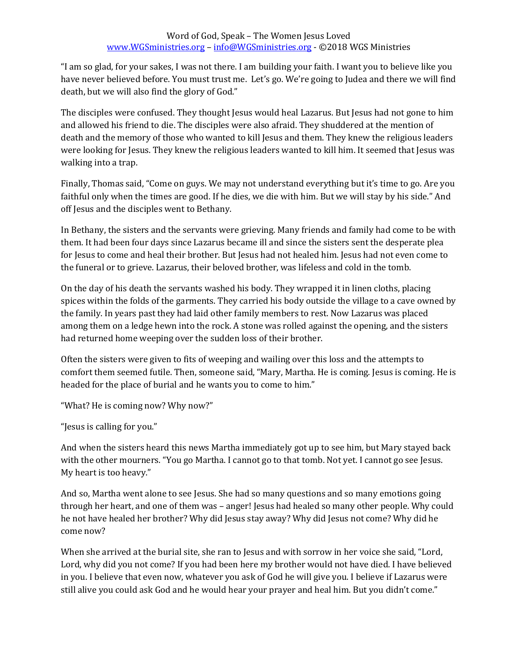"I am so glad, for your sakes, I was not there. I am building your faith. I want you to believe like you have never believed before. You must trust me. Let's go. We're going to Judea and there we will find death, but we will also find the glory of God."

The disciples were confused. They thought Jesus would heal Lazarus. But Jesus had not gone to him and allowed his friend to die. The disciples were also afraid. They shuddered at the mention of death and the memory of those who wanted to kill Jesus and them. They knew the religious leaders were looking for Jesus. They knew the religious leaders wanted to kill him. It seemed that Jesus was walking into a trap.

Finally, Thomas said, "Come on guys. We may not understand everything but it's time to go. Are you faithful only when the times are good. If he dies, we die with him. But we will stay by his side." And off Jesus and the disciples went to Bethany.

In Bethany, the sisters and the servants were grieving. Many friends and family had come to be with them. It had been four days since Lazarus became ill and since the sisters sent the desperate plea for Jesus to come and heal their brother. But Jesus had not healed him. Jesus had not even come to the funeral or to grieve. Lazarus, their beloved brother, was lifeless and cold in the tomb.

On the day of his death the servants washed his body. They wrapped it in linen cloths, placing spices within the folds of the garments. They carried his body outside the village to a cave owned by the family. In years past they had laid other family members to rest. Now Lazarus was placed among them on a ledge hewn into the rock. A stone was rolled against the opening, and the sisters had returned home weeping over the sudden loss of their brother.

Often the sisters were given to fits of weeping and wailing over this loss and the attempts to comfort them seemed futile. Then, someone said, "Mary, Martha. He is coming. Jesus is coming. He is headed for the place of burial and he wants you to come to him."

"What? He is coming now? Why now?"

"Jesus is calling for you."

And when the sisters heard this news Martha immediately got up to see him, but Mary stayed back with the other mourners. "You go Martha. I cannot go to that tomb. Not yet. I cannot go see Jesus. My heart is too heavy."

And so, Martha went alone to see Jesus. She had so many questions and so many emotions going through her heart, and one of them was – anger! Jesus had healed so many other people. Why could he not have healed her brother? Why did Jesus stay away? Why did Jesus not come? Why did he come now?

When she arrived at the burial site, she ran to Jesus and with sorrow in her voice she said, "Lord, Lord, why did you not come? If you had been here my brother would not have died. I have believed in you. I believe that even now, whatever you ask of God he will give you. I believe if Lazarus were still alive you could ask God and he would hear your prayer and heal him. But you didn't come."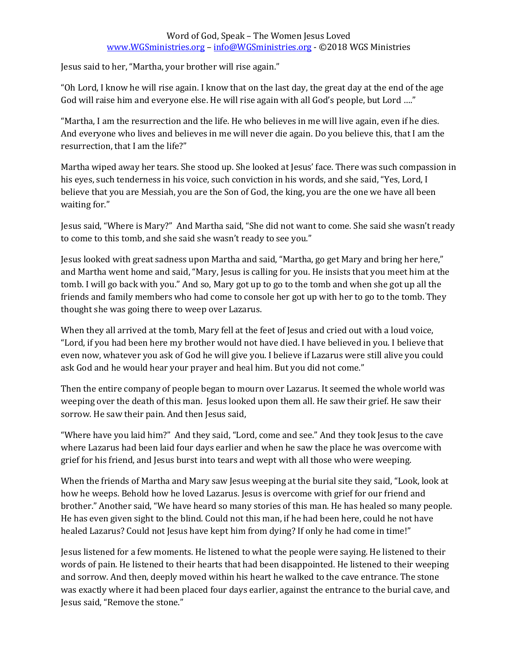## Word of God, Speak – The Women Jesus Loved [www.WGSministries.org](http://www.wgsministries.org/) – [info@WGSministries.org](mailto:info@WGSministries.org) - ©2018 WGS Ministries

Jesus said to her, "Martha, your brother will rise again."

"Oh Lord, I know he will rise again. I know that on the last day, the great day at the end of the age God will raise him and everyone else. He will rise again with all God's people, but Lord …."

"Martha, I am the resurrection and the life. He who believes in me will live again, even if he dies. And everyone who lives and believes in me will never die again. Do you believe this, that I am the resurrection, that I am the life?"

Martha wiped away her tears. She stood up. She looked at Jesus' face. There was such compassion in his eyes, such tenderness in his voice, such conviction in his words, and she said, "Yes, Lord, I believe that you are Messiah, you are the Son of God, the king, you are the one we have all been waiting for."

Jesus said, "Where is Mary?" And Martha said, "She did not want to come. She said she wasn't ready to come to this tomb, and she said she wasn't ready to see you."

Jesus looked with great sadness upon Martha and said, "Martha, go get Mary and bring her here," and Martha went home and said, "Mary, Jesus is calling for you. He insists that you meet him at the tomb. I will go back with you." And so, Mary got up to go to the tomb and when she got up all the friends and family members who had come to console her got up with her to go to the tomb. They thought she was going there to weep over Lazarus.

When they all arrived at the tomb, Mary fell at the feet of Jesus and cried out with a loud voice, "Lord, if you had been here my brother would not have died. I have believed in you. I believe that even now, whatever you ask of God he will give you. I believe if Lazarus were still alive you could ask God and he would hear your prayer and heal him. But you did not come."

Then the entire company of people began to mourn over Lazarus. It seemed the whole world was weeping over the death of this man. Jesus looked upon them all. He saw their grief. He saw their sorrow. He saw their pain. And then Jesus said,

"Where have you laid him?" And they said, "Lord, come and see." And they took Jesus to the cave where Lazarus had been laid four days earlier and when he saw the place he was overcome with grief for his friend, and Jesus burst into tears and wept with all those who were weeping.

When the friends of Martha and Mary saw Jesus weeping at the burial site they said, "Look, look at how he weeps. Behold how he loved Lazarus. Jesus is overcome with grief for our friend and brother." Another said, "We have heard so many stories of this man. He has healed so many people. He has even given sight to the blind. Could not this man, if he had been here, could he not have healed Lazarus? Could not Jesus have kept him from dying? If only he had come in time!"

Jesus listened for a few moments. He listened to what the people were saying. He listened to their words of pain. He listened to their hearts that had been disappointed. He listened to their weeping and sorrow. And then, deeply moved within his heart he walked to the cave entrance. The stone was exactly where it had been placed four days earlier, against the entrance to the burial cave, and Jesus said, "Remove the stone."